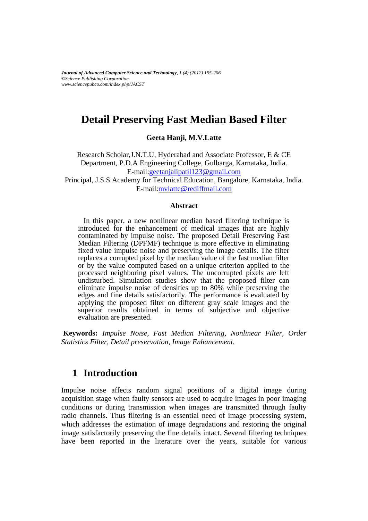*Journal of Advanced Computer Science and Technology, 1 (4) (2012) 195-206 ©Science Publishing Corporation www.sciencepubco.com/index.php/JACST*

# **Detail Preserving Fast Median Based Filter**

**Geeta Hanji, M.V.Latte**

Research Scholar,J.N.T.U, Hyderabad and Associate Professor, E & CE Department, P.D.A Engineering College, Gulbarga, Karnataka, India. E-mail[:geetanjalipatil123@gmail.com](mailto:geetanjalipatil123@gmail.com)

Principal, J.S.S.Academy for Technical Education, Bangalore, Karnataka, India. E-mail[:mvlatte@rediffmail.com](mailto:mvlatte@rediffmail.com)

#### **Abstract**

In this paper, a new nonlinear median based filtering technique is introduced for the enhancement of medical images that are highly contaminated by impulse noise. The proposed Detail Preserving Fast Median Filtering (DPFMF) technique is more effective in eliminating fixed value impulse noise and preserving the image details. The filter replaces a corrupted pixel by the median value of the fast median filter or by the value computed based on a unique criterion applied to the processed neighboring pixel values. The uncorrupted pixels are left undisturbed. Simulation studies show that the proposed filter can eliminate impulse noise of densities up to 80% while preserving the edges and fine details satisfactorily. The performance is evaluated by applying the proposed filter on different gray scale images and the superior results obtained in terms of subjective and objective evaluation are presented.

**Keywords:** *Impulse Noise, Fast Median Filtering, Nonlinear Filter, Order Statistics Filter, Detail preservation, Image Enhancement.*

### **1 Introduction**

Impulse noise affects random signal positions of a digital image during acquisition stage when faulty sensors are used to acquire images in poor imaging conditions or during transmission when images are transmitted through faulty radio channels. Thus filtering is an essential need of image processing system, which addresses the estimation of image degradations and restoring the original image satisfactorily preserving the fine details intact. Several filtering techniques have been reported in the literature over the years, suitable for various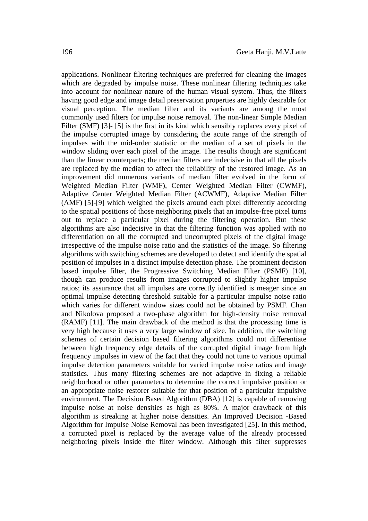applications. Nonlinear filtering techniques are preferred for cleaning the images which are degraded by impulse noise. These nonlinear filtering techniques take into account for nonlinear nature of the human visual system. Thus, the filters having good edge and image detail preservation properties are highly desirable for visual perception. The median filter and its variants are among the most commonly used filters for impulse noise removal. The non-linear Simple Median Filter (SMF) [3] - [5] is the first in its kind which sensibly replaces every pixel of the impulse corrupted image by considering the acute range of the strength of impulses with the mid-order statistic or the median of a set of pixels in the window sliding over each pixel of the image. The results though are significant than the linear counterparts; the median filters are indecisive in that all the pixels are replaced by the median to affect the reliability of the restored image. As an improvement did numerous variants of median filter evolved in the form of Weighted Median Filter (WMF), Center Weighted Median Filter (CWMF), Adaptive Center Weighted Median Filter (ACWMF), Adaptive Median Filter (AMF) [5]-[9] which weighed the pixels around each pixel differently according to the spatial positions of those neighboring pixels that an impulse-free pixel turns out to replace a particular pixel during the filtering operation. But these algorithms are also indecisive in that the filtering function was applied with no differentiation on all the corrupted and uncorrupted pixels of the digital image irrespective of the impulse noise ratio and the statistics of the image. So filtering algorithms with switching schemes are developed to detect and identify the spatial position of impulses in a distinct impulse detection phase. The prominent decision based impulse filter, the Progressive Switching Median Filter (PSMF) [10], though can produce results from images corrupted to slightly higher impulse ratios; its assurance that all impulses are correctly identified is meager since an optimal impulse detecting threshold suitable for a particular impulse noise ratio which varies for different window sizes could not be obtained by PSMF. Chan and Nikolova proposed a two-phase algorithm for high-density noise removal (RAMF) [11]. The main drawback of the method is that the processing time is very high because it uses a very large window of size. In addition, the switching schemes of certain decision based filtering algorithms could not differentiate between high frequency edge details of the corrupted digital image from high frequency impulses in view of the fact that they could not tune to various optimal impulse detection parameters suitable for varied impulse noise ratios and image statistics. Thus many filtering schemes are not adaptive in fixing a reliable neighborhood or other parameters to determine the correct impulsive position or an appropriate noise restorer suitable for that position of a particular impulsive environment. The Decision Based Algorithm (DBA) [12] is capable of removing impulse noise at noise densities as high as 80%. A major drawback of this algorithm is streaking at higher noise densities. An Improved Decision -Based Algorithm for Impulse Noise Removal has been investigated [25]. In this method, a corrupted pixel is replaced by the average value of the already processed neighboring pixels inside the filter window. Although this filter suppresses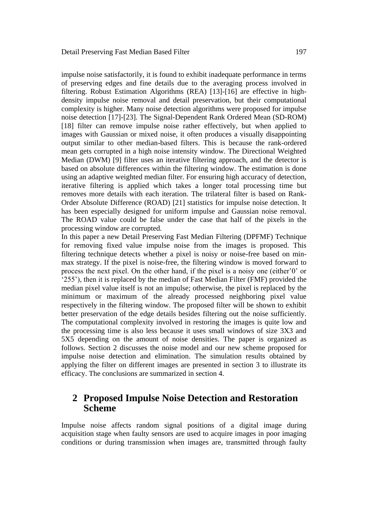impulse noise satisfactorily, it is found to exhibit inadequate performance in terms of preserving edges and fine details due to the averaging process involved in filtering. Robust Estimation Algorithms (REA) [13]-[16] are effective in highdensity impulse noise removal and detail preservation, but their computational complexity is higher. Many noise detection algorithms were proposed for impulse noise detection [17]-[23]. The Signal-Dependent Rank Ordered Mean (SD-ROM) [18] filter can remove impulse noise rather effectively, but when applied to images with Gaussian or mixed noise, it often produces a visually disappointing output similar to other median-based filters. This is because the rank-ordered mean gets corrupted in a high noise intensity window. The Directional Weighted Median (DWM) [9] filter uses an iterative filtering approach, and the detector is based on absolute differences within the filtering window. The estimation is done using an adaptive weighted median filter. For ensuring high accuracy of detection, iterative filtering is applied which takes a longer total processing time but removes more details with each iteration. The trilateral filter is based on Rank-Order Absolute Difference (ROAD) [21] statistics for impulse noise detection. It has been especially designed for uniform impulse and Gaussian noise removal. The ROAD value could be false under the case that half of the pixels in the processing window are corrupted.

In this paper a new Detail Preserving Fast Median Filtering (DPFMF) Technique for removing fixed value impulse noise from the images is proposed. This filtering technique detects whether a pixel is noisy or noise-free based on minmax strategy. If the pixel is noise-free, the filtering window is moved forward to process the next pixel. On the other hand, if the pixel is a noisy one (either'0' or '255'), then it is replaced by the median of Fast Median Filter (FMF) provided the median pixel value itself is not an impulse; otherwise, the pixel is replaced by the minimum or maximum of the already processed neighboring pixel value respectively in the filtering window. The proposed filter will be shown to exhibit better preservation of the edge details besides filtering out the noise sufficiently. The computational complexity involved in restoring the images is quite low and the processing time is also less because it uses small windows of size 3X3 and 5X5 depending on the amount of noise densities. The paper is organized as follows. Section 2 discusses the noise model and our new scheme proposed for impulse noise detection and elimination. The simulation results obtained by applying the filter on different images are presented in section 3 to illustrate its efficacy. The conclusions are summarized in section 4.

# **2 Proposed Impulse Noise Detection and Restoration Scheme**

Impulse noise affects random signal positions of a digital image during acquisition stage when faulty sensors are used to acquire images in poor imaging conditions or during transmission when images are, transmitted through faulty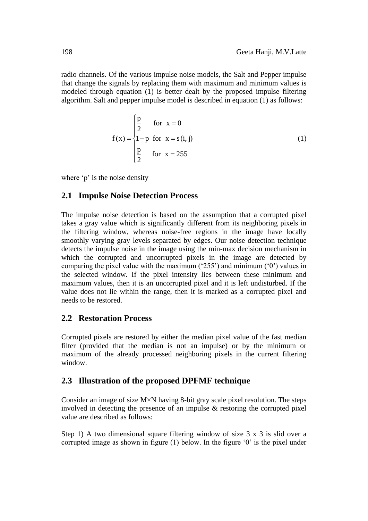radio channels. Of the various impulse noise models, the Salt and Pepper impulse that change the signals by replacing them with maximum and minimum values is modeled through equation (1) is better dealt by the proposed impulse filtering algorithm. Salt and pepper impulse model is described in equation (1) as follows:

$$
f(x) = \begin{cases} \frac{p}{2} & \text{for } x = 0\\ 1-p & \text{for } x = s(i, j) \\ \frac{p}{2} & \text{for } x = 255 \end{cases}
$$
 (1)

where 'p' is the noise density

#### **2.1 Impulse Noise Detection Process**

The impulse noise detection is based on the assumption that a corrupted pixel takes a gray value which is significantly different from its neighboring pixels in the filtering window, whereas noise-free regions in the image have locally smoothly varying gray levels separated by edges. Our noise detection technique detects the impulse noise in the image using the min-max decision mechanism in which the corrupted and uncorrupted pixels in the image are detected by comparing the pixel value with the maximum ('255') and minimum ('0') values in the selected window. If the pixel intensity lies between these minimum and maximum values, then it is an uncorrupted pixel and it is left undisturbed. If the value does not lie within the range, then it is marked as a corrupted pixel and needs to be restored.

### **2.2 Restoration Process**

Corrupted pixels are restored by either the median pixel value of the fast median filter (provided that the median is not an impulse) or by the minimum or maximum of the already processed neighboring pixels in the current filtering window.

### **2.3 Illustration of the proposed DPFMF technique**

Consider an image of size M×N having 8-bit gray scale pixel resolution. The steps involved in detecting the presence of an impulse  $\&$  restoring the corrupted pixel value are described as follows:

Step 1) A two dimensional square filtering window of size 3 x 3 is slid over a corrupted image as shown in figure (1) below. In the figure '0' is the pixel under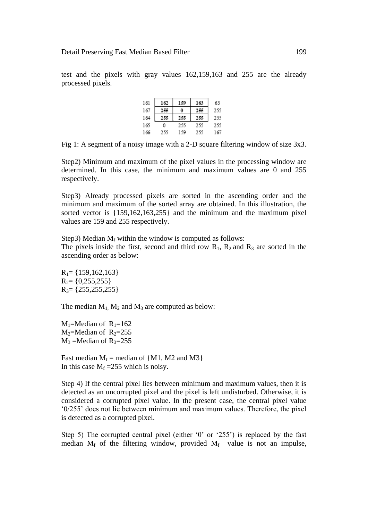test and the pixels with gray values 162,159,163 and 255 are the already processed pixels.

| 161 | 162 |     | 163 | 63  |
|-----|-----|-----|-----|-----|
| 167 |     |     |     | 255 |
| 164 |     |     |     | 255 |
| 165 | ۵   | 255 | 255 | 255 |
| 166 | 233 | -59 | 233 |     |

Fig 1: A segment of a noisy image with a 2-D square filtering window of size 3x3.

Step2) Minimum and maximum of the pixel values in the processing window are determined. In this case, the minimum and maximum values are 0 and 255 respectively.

Step3) Already processed pixels are sorted in the ascending order and the minimum and maximum of the sorted array are obtained. In this illustration, the sorted vector is {159,162,163,255} and the minimum and the maximum pixel values are 159 and 255 respectively.

Step3) Median  $M_f$  within the window is computed as follows:

The pixels inside the first, second and third row  $R_1$ ,  $R_2$  and  $R_3$  are sorted in the ascending order as below:

 $R_1$ = {159,162,163}  $R_2$ = {0,255,255}  $R_3 = \{255, 255, 255\}$ 

The median  $M_1$ ,  $M_2$  and  $M_3$  are computed as below:

 $M_1$ =Median of  $R_1$ =162  $M_2$ =Median of  $R_2$ =255  $M_3$  =Median of R<sub>3</sub>=255

Fast median  $M_f$  = median of {M1, M2 and M3} In this case  $M_f = 255$  which is noisy.

Step 4) If the central pixel lies between minimum and maximum values, then it is detected as an uncorrupted pixel and the pixel is left undisturbed. Otherwise, it is considered a corrupted pixel value. In the present case, the central pixel value '0/255' does not lie between minimum and maximum values. Therefore, the pixel is detected as a corrupted pixel.

Step 5) The corrupted central pixel (either '0' or '255') is replaced by the fast median  $M_f$  of the filtering window, provided  $M_f$  value is not an impulse,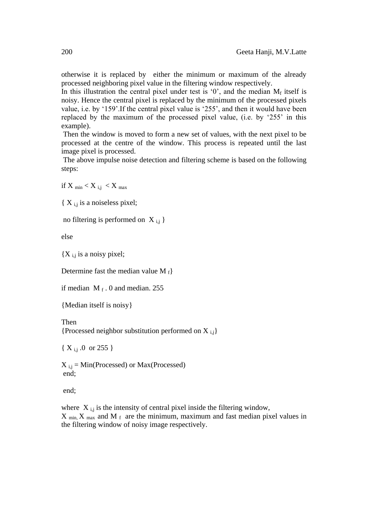otherwise it is replaced by either the minimum or maximum of the already processed neighboring pixel value in the filtering window respectively.

In this illustration the central pixel under test is '0', and the median  $M_f$  itself is noisy. Hence the central pixel is replaced by the minimum of the processed pixels value, i.e. by '159'.If the central pixel value is '255', and then it would have been replaced by the maximum of the processed pixel value, (i.e. by '255' in this example).

Then the window is moved to form a new set of values, with the next pixel to be processed at the centre of the window. This process is repeated until the last image pixel is processed.

The above impulse noise detection and filtering scheme is based on the following steps:

if X  $_{\text{min}} < X$  i,  $i < X$  max

 ${X}_{i,j}$  is a noiseless pixel;

no filtering is performed on  $X_{i,j}$ 

else

 ${X}_{i,j}$  is a noisy pixel;

Determine fast the median value M  $_f$ 

if median  $M_f$ . 0 and median. 255

{Median itself is noisy}

Then

{Processed neighbor substitution performed on  $X_{i,j}$ }

 $\{ X_{i,j} \ldots 0 \text{ or } 255 \}$ 

 $X_{i,j} = Min(Processed)$  or  $Max(Processed)$ end;

end;

where  $X_{i,j}$  is the intensity of central pixel inside the filtering window,  $X_{min}$ ,  $X_{max}$  and M<sub>f</sub> are the minimum, maximum and fast median pixel values in the filtering window of noisy image respectively.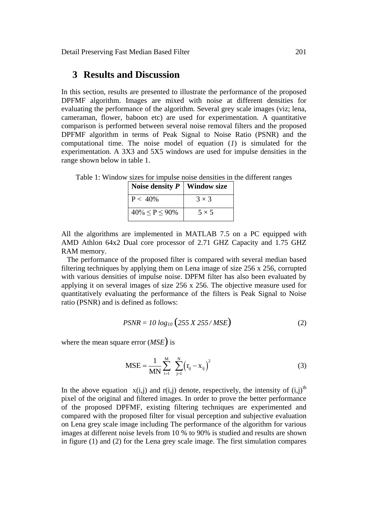### **3 Results and Discussion**

In this section, results are presented to illustrate the performance of the proposed DPFMF algorithm. Images are mixed with noise at different densities for evaluating the performance of the algorithm. Several grey scale images (viz; lena, cameraman, flower, baboon etc) are used for experimentation. A quantitative comparison is performed between several noise removal filters and the proposed DPFMF algorithm in terms of Peak Signal to Noise Ratio (PSNR) and the computational time. The noise model of equation (*1*) is simulated for the experimentation. A 3X3 and 5X5 windows are used for impulse densities in the range shown below in table 1.

Table 1: Window sizes for impulse noise densities in the different ranges

| Noise density $P$     | Window size  |
|-----------------------|--------------|
| $P < 40\%$            | $3 \times 3$ |
| $40\% \le P \le 90\%$ | $5 \times 5$ |

All the algorithms are implemented in MATLAB 7.5 on a PC equipped with AMD Athlon 64x2 Dual core processor of 2.71 GHZ Capacity and 1.75 GHZ RAM memory.

 The performance of the proposed filter is compared with several median based filtering techniques by applying them on Lena image of size 256 x 256, corrupted with various densities of impulse noise. DPFM filter has also been evaluated by applying it on several images of size 256 x 256. The objective measure used for quantitatively evaluating the performance of the filters is Peak Signal to Noise ratio (PSNR) and is defined as follows:

$$
PSNR = 10 \log_{10} (255 \, X \, 255 / MSE) \tag{2}
$$

where the mean square error (*MSE*) is

$$
MSE = \frac{1}{MN} \sum_{i=1}^{M} \sum_{j=1}^{N} (r_{ij} - x_{ij})^{2}
$$
 (3)

In the above equation  $x(i,j)$  and  $r(i,j)$  denote, respectively, the intensity of  $(i,j)$ <sup>th</sup> pixel of the original and filtered images. In order to prove the better performance of the proposed DPFMF, existing filtering techniques are experimented and compared with the proposed filter for visual perception and subjective evaluation on Lena grey scale image including The performance of the algorithm for various images at different noise levels from 10 % to 90% is studied and results are shown in figure (1) and (2) for the Lena grey scale image. The first simulation compares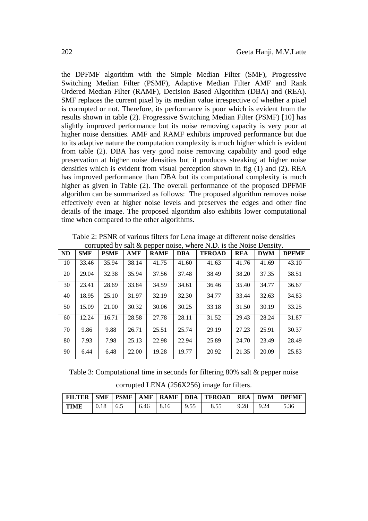the DPFMF algorithm with the Simple Median Filter (SMF), Progressive Switching Median Filter (PSMF), Adaptive Median Filter AMF and Rank Ordered Median Filter (RAMF), Decision Based Algorithm (DBA) and (REA). SMF replaces the current pixel by its median value irrespective of whether a pixel is corrupted or not. Therefore, its performance is poor which is evident from the results shown in table (2). Progressive Switching Median Filter (PSMF) [10] has slightly improved performance but its noise removing capacity is very poor at higher noise densities. AMF and RAMF exhibits improved performance but due to its adaptive nature the computation complexity is much higher which is evident from table (2). DBA has very good noise removing capability and good edge preservation at higher noise densities but it produces streaking at higher noise densities which is evident from visual perception shown in fig (1) and (2). REA has improved performance than DBA but its computational complexity is much higher as given in Table (2). The overall performance of the proposed DPFMF algorithm can be summarized as follows: The proposed algorithm removes noise effectively even at higher noise levels and preserves the edges and other fine details of the image. The proposed algorithm also exhibits lower computational time when compared to the other algorithms.

|           | Contapted by<br>$\frac{1}{2}$ out to pupper horse, where $\frac{1}{2}$ , is the tronge Density. |             |            |             |            |               |            |            |              |  |
|-----------|-------------------------------------------------------------------------------------------------|-------------|------------|-------------|------------|---------------|------------|------------|--------------|--|
| <b>ND</b> | <b>SMF</b>                                                                                      | <b>PSMF</b> | <b>AMF</b> | <b>RAMF</b> | <b>DBA</b> | <b>TFROAD</b> | <b>REA</b> | <b>DWM</b> | <b>DPFMF</b> |  |
| 10        | 33.46                                                                                           | 35.94       | 38.14      | 41.75       | 41.60      | 41.63         | 41.76      | 41.69      | 43.10        |  |
| 20        | 29.04                                                                                           | 32.38       | 35.94      | 37.56       | 37.48      | 38.49         | 38.20      | 37.35      | 38.51        |  |
| 30        | 23.41                                                                                           | 28.69       | 33.84      | 34.59       | 34.61      | 36.46         | 35.40      | 34.77      | 36.67        |  |
| 40        | 18.95                                                                                           | 25.10       | 31.97      | 32.19       | 32.30      | 34.77         | 33.44      | 32.63      | 34.83        |  |
| 50        | 15.09                                                                                           | 21.00       | 30.32      | 30.06       | 30.25      | 33.18         | 31.50      | 30.19      | 33.25        |  |
| 60        | 12.24                                                                                           | 16.71       | 28.58      | 27.78       | 28.11      | 31.52         | 29.43      | 28.24      | 31.87        |  |
| 70        | 9.86                                                                                            | 9.88        | 26.71      | 25.51       | 25.74      | 29.19         | 27.23      | 25.91      | 30.37        |  |
| 80        | 7.93                                                                                            | 7.98        | 25.13      | 22.98       | 22.94      | 25.89         | 24.70      | 23.49      | 28.49        |  |
| 90        | 6.44                                                                                            | 6.48        | 22.00      | 19.28       | 19.77      | 20.92         | 21.35      | 20.09      | 25.83        |  |

Table 2: PSNR of various filters for Lena image at different noise densities corrupted by salt  $\&$  pepper noise, where N.D. is the Noise Density.

Table 3: Computational time in seconds for filtering 80% salt & pepper noise corrupted LENA (256X256) image for filters.

|      |            |      |      |      | FILTER   SMF   PSMF   AMF   RAMF   DBA   TFROAD   REA   DWM |             | <b>TEPPEME</b> |
|------|------------|------|------|------|-------------------------------------------------------------|-------------|----------------|
| TIME | $0.18$ 6.5 | 6.46 | 8.16 | 9.55 | 8.55                                                        | $9.28$ 9.24 | 5.36           |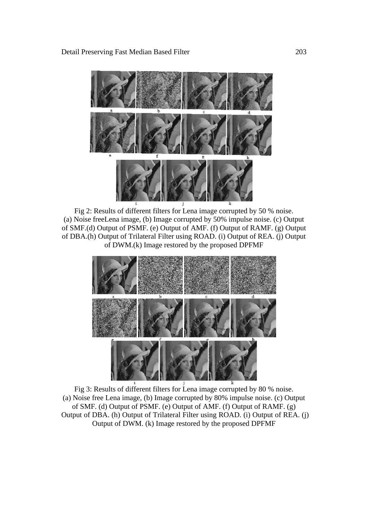

Fig 2: Results of different filters for Lena image corrupted by 50 % noise. (a) Noise freeLena image, (b) Image corrupted by 50% impulse noise. (c) Output of SMF.(d) Output of PSMF. (e) Output of AMF. (f) Output of RAMF. (g) Output of DBA.(h) Output of Trilateral Filter using ROAD. (i) Output of REA. (j) Output of DWM.(k) Image restored by the proposed DPFMF



Fig 3: Results of different filters for Lena image corrupted by 80 % noise. (a) Noise free Lena image, (b) Image corrupted by 80% impulse noise. (c) Output of SMF. (d) Output of PSMF. (e) Output of AMF. (f) Output of RAMF. (g) Output of DBA. (h) Output of Trilateral Filter using ROAD. (i) Output of REA. (j) Output of DWM. (k) Image restored by the proposed DPFMF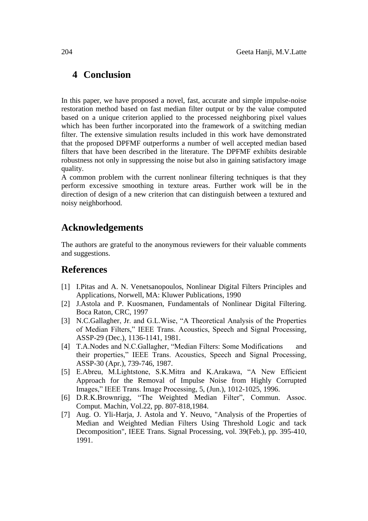# **4 Conclusion**

In this paper, we have proposed a novel, fast, accurate and simple impulse-noise restoration method based on fast median filter output or by the value computed based on a unique criterion applied to the processed neighboring pixel values which has been further incorporated into the framework of a switching median filter. The extensive simulation results included in this work have demonstrated that the proposed DPFMF outperforms a number of well accepted median based filters that have been described in the literature. The DPFMF exhibits desirable robustness not only in suppressing the noise but also in gaining satisfactory image quality.

A common problem with the current nonlinear filtering techniques is that they perform excessive smoothing in texture areas. Further work will be in the direction of design of a new criterion that can distinguish between a textured and noisy neighborhood.

# **Acknowledgements**

The authors are grateful to the anonymous reviewers for their valuable comments and suggestions.

# **References**

- [1] I.Pitas and A. N. Venetsanopoulos, Nonlinear Digital Filters Principles and Applications, Norwell, MA: Kluwer Publications, 1990
- [2] J.Astola and P. Kuosmanen, Fundamentals of Nonlinear Digital Filtering. Boca Raton, CRC, 1997
- [3] N.C.Gallagher, Jr. and G.L.Wise, "A Theoretical Analysis of the Properties of Median Filters," IEEE Trans. Acoustics, Speech and Signal Processing, ASSP-29 (Dec.), 1136-1141, 1981.
- [4] T.A.Nodes and N.C.Gallagher, "Median Filters: Some Modifications and their properties," IEEE Trans. Acoustics, Speech and Signal Processing, ASSP-30 (Apr.), 739-746, 1987.
- [5] E.Abreu, M.Lightstone, S.K.Mitra and K.Arakawa, "A New Efficient Approach for the Removal of Impulse Noise from Highly Corrupted Images," IEEE Trans. Image Processing, 5, (Jun.), 1012-1025, 1996.
- [6] D.R.K.Brownrigg, "The Weighted Median Filter", Commun. Assoc. Comput. Machin, Vol.22, pp. 807-818,1984.
- [7] Aug. O. Yli-Harja, J. Astola and Y. Neuvo, "Analysis of the Properties of Median and Weighted Median Filters Using Threshold Logic and tack Decomposition", IEEE Trans. Signal Processing, vol. 39(Feb.), pp. 395-410, 1991.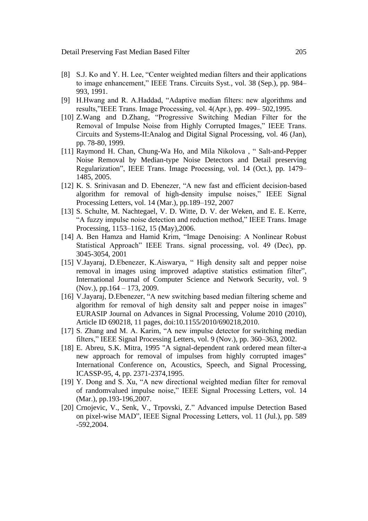- [8] S.J. Ko and Y. H. Lee, "Center weighted median filters and their applications to image enhancement," IEEE Trans. Circuits Syst., vol. 38 (Sep.), pp. 984– 993, 1991.
- [9] H.Hwang and R. A.Haddad, "Adaptive median filters: new algorithms and results,"IEEE Trans. Image Processing, vol. 4(Apr.), pp. 499– 502,1995.
- [10] Z.Wang and D.Zhang, "Progressive Switching Median Filter for the Removal of Impulse Noise from Highly Corrupted Images," IEEE Trans. Circuits and Systems-II:Analog and Digital Signal Processing, vol. 46 (Jan), pp. 78-80, 1999.
- [11] Raymond H. Chan, Chung-Wa Ho, and Mila Nikolova , " Salt-and-Pepper Noise Removal by Median-type Noise Detectors and Detail preserving Regularization", IEEE Trans. Image Processing, vol. 14 (Oct.), pp. 1479– 1485, 2005.
- [12] K. S. Srinivasan and D. Ebenezer, "A new fast and efficient decision-based algorithm for removal of high-density impulse noises," IEEE Signal Processing Letters, vol. 14 (Mar.), pp.189–192, 2007
- [13] S. Schulte, M. Nachtegael, V. D. Witte, D. V. der Weken, and E. E. Kerre, "A fuzzy impulse noise detection and reduction method," IEEE Trans. Image Processing, 1153–1162, 15 (May),2006.
- [14] A. Ben Hamza and Hamid Krim, "Image Denoising: A Nonlinear Robust Statistical Approach" IEEE Trans. signal processing, vol. 49 (Dec), pp. 3045-3054, 2001
- [15] V.Jayaraj, D.Ebenezer, K.Aiswarya, " High density salt and pepper noise removal in images using improved adaptive statistics estimation filter", International Journal of Computer Science and Network Security, vol. 9 (Nov.), pp.164 – 173, 2009.
- [16] V.Jayaraj, D.Ebenezer, "A new switching based median filtering scheme and algorithm for removal of high density salt and pepper noise in images" EURASIP Journal on Advances in Signal Processing, Volume 2010 (2010), Article ID 690218, 11 pages, doi:10.1155/2010/690218,2010.
- [17] S. Zhang and M. A. Karim, "A new impulse detector for switching median filters," IEEE Signal Processing Letters, vol. 9 (Nov.), pp. 360–363, 2002.
- [18] E. Abreu, S.K. Mitra, 1995 "A signal-dependent rank ordered mean filter-a new approach for removal of impulses from highly corrupted images" International Conference on, Acoustics, Speech, and Signal Processing, ICASSP-95, 4, pp. 2371-2374,1995.
- [19] Y. Dong and S. Xu, "A new directional weighted median filter for removal of randomvalued impulse noise," IEEE Signal Processing Letters, vol. 14 (Mar.), pp.193-196,2007.
- [20] Crnojevic, V., Senk, V., Trpovski, Z." Advanced impulse Detection Based on pixel-wise MAD", IEEE Signal Processing Letters, vol. 11 (Jul.), pp. 589 -592,2004.